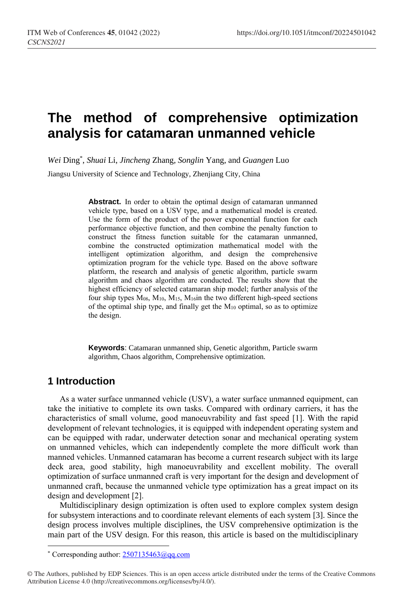# **The method of comprehensive optimization analysis for catamaran unmanned vehicle**

*Wei* Ding\* , *Shuai* Li, *Jincheng* Zhang, *Songlin* Yang, and *Guangen* Luo

Jiangsu University of Science and Technology, Zhenjiang City, China

Abstract. In order to obtain the optimal design of catamaran unmanned vehicle type, based on a USV type, and a mathematical model is created. Use the form of the product of the power exponential function for each performance objective function, and then combine the penalty function to construct the fitness function suitable for the catamaran unmanned, combine the constructed optimization mathematical model with the intelligent optimization algorithm, and design the comprehensive optimization program for the vehicle type. Based on the above software platform, the research and analysis of genetic algorithm, particle swarm algorithm and chaos algorithm are conducted. The results show that the highest efficiency of selected catamaran ship model; further analysis of the four ship types M08, M10, M15, M16in the two different high-speed sections of the optimal ship type, and finally get the M<sup>10</sup> optimal, so as to optimize the design.

**Keywords**: Catamaran unmanned ship, Genetic algorithm, Particle swarm algorithm, Chaos algorithm, Comprehensive optimization.

## **1 Introduction**

 $\overline{a}$ 

As a water surface unmanned vehicle (USV), a water surface unmanned equipment, can take the initiative to complete its own tasks. Compared with ordinary carriers, it has the characteristics of small volume, good manoeuvrability and fast speed [1]. With the rapid development of relevant technologies, it is equipped with independent operating system and can be equipped with radar, underwater detection sonar and mechanical operating system on unmanned vehicles, which can independently complete the more difficult work than manned vehicles. Unmanned catamaran has become a current research subject with its large deck area, good stability, high manoeuvrability and excellent mobility. The overall optimization of surface unmanned craft is very important for the design and development of unmanned craft, because the unmanned vehicle type optimization has a great impact on its design and development [2].

Multidisciplinary design optimization is often used to explore complex system design for subsystem interactions and to coordinate relevant elements of each system [3]. Since the design process involves multiple disciplines, the USV comprehensive optimization is the main part of the USV design. For this reason, this article is based on the multidisciplinary

<sup>\*</sup> Corresponding author:  $2507135463$  @qq.com

<sup>©</sup> The Authors, published by EDP Sciences. This is an open access article distributed under the terms of the Creative Commons Attribution License 4.0 (http://creativecommons.org/licenses/by/4.0/).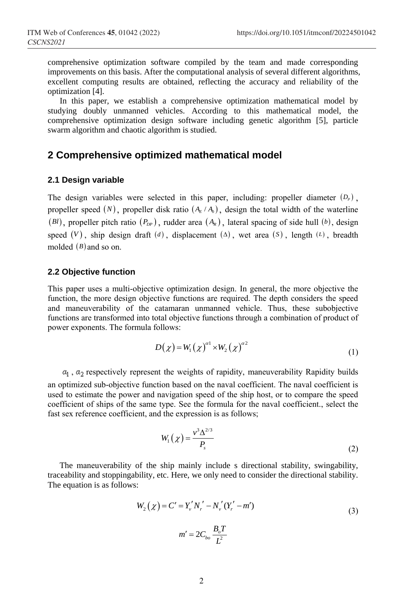comprehensive optimization software compiled by the team and made corresponding improvements on this basis. After the computational analysis of several different algorithms, excellent computing results are obtained, reflecting the accuracy and reliability of the optimization [4].

In this paper, we establish a comprehensive optimization mathematical model by studying doubly unmanned vehicles. According to this mathematical model, the comprehensive optimization design software including genetic algorithm [5], particle swarm algorithm and chaotic algorithm is studied.

### **2 Comprehensive optimized mathematical model**

#### **2.1 Design variable**

The design variables were selected in this paper, including: propeller diameter  $(D<sub>P</sub>)$ , propeller speed  $(N)$ , propeller disk ratio  $(A_E/A_0)$ , design the total width of the waterline (Bl), propeller pitch ratio  $(P_{DP})$ , rudder area  $(A_R)$ , lateral spacing of side hull (b), design speed  $(V)$ , ship design draft  $(d)$ , displacement  $(A)$ , wet area  $(S)$ , length  $(L)$ , breadth molded (*B*) and so on.

#### **2.2 Objective function**

This paper uses a multi-objective optimization design. In general, the more objective the function, the more design objective functions are required. The depth considers the speed and maneuverability of the catamaran unmanned vehicle. Thus, these subobjective functions are transformed into total objective functions through a combination of product of power exponents. The formula follows:

$$
D(\chi) = W_1(\chi)^{\alpha 1} \times W_2(\chi)^{\alpha 2} \tag{1}
$$

 $\alpha_1$ ,  $\alpha_2$  respectively represent the weights of rapidity, maneuverability Rapidity builds an optimized sub-objective function based on the naval coefficient. The naval coefficient is used to estimate the power and navigation speed of the ship host, or to compare the speed coefficient of ships of the same type. See the formula for the naval coefficient., select the fast sex reference coefficient, and the expression is as follows;

$$
W_1(\chi) = \frac{v^3 \Delta^{2/3}}{P_s} \tag{2}
$$

The maneuverability of the ship mainly include s directional stability, swingability, traceability and stoppingability, etc. Here, we only need to consider the directional stability. The equation is as follows:

$$
W_2(\chi) = C' = Y_v' N_r' - N_v' (Y_r' - m')
$$
  

$$
m' = 2C_{bo} \frac{B_o T}{L^2}
$$
 (3)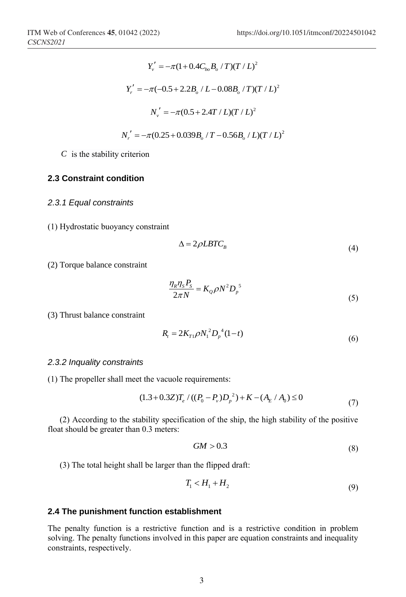$$
Y'_{\nu} = -\pi (1 + 0.4 C_{bo} B_o / T) (T / L)^2
$$
  
\n
$$
Y'_{r} = -\pi (-0.5 + 2.2 B_o / L - 0.08 B_o / T) (T / L)^2
$$
  
\n
$$
N'_{\nu} = -\pi (0.5 + 2.4 T / L) (T / L)^2
$$
  
\n
$$
N'_{r} = -\pi (0.25 + 0.039 B_o / T - 0.56 B_o / L) (T / L)^2
$$

*C* is the stability criterion

#### **2.3 Constraint condition**

*2.3.1 Equal constraints*

(1) Hydrostatic buoyancy constraint

$$
\Delta = 2\rho L B T C_B \tag{4}
$$

(2) Torque balance constraint

$$
\frac{\eta_R \eta_S P_S}{2\pi N} = K_Q \rho N^2 D_p^5 \tag{5}
$$

(3) Thrust balance constraint

$$
R_{t} = 2K_{T1}\rho N_{1}^{2}D_{p}^{4}(1-t)
$$
\n(6)

#### *2.3.2 Inquality constraints*

(1) The propeller shall meet the vacuole requirements:

$$
(1.3 + 0.3Z)T_e / ((P_0 - P_v)D_p^2) + K - (A_E / A_0) ≤ 0
$$
\n(7)

(2) According to the stability specification of the ship, the high stability of the positive float should be greater than 0.3 meters:

$$
GM > 0.3\tag{8}
$$

(3) The total height shall be larger than the flipped draft:

$$
T_1 < H_1 + H_2 \tag{9}
$$

#### **2.4 The punishment function establishment**

The penalty function is a restrictive function and is a restrictive condition in problem solving. The penalty functions involved in this paper are equation constraints and inequality constraints, respectively.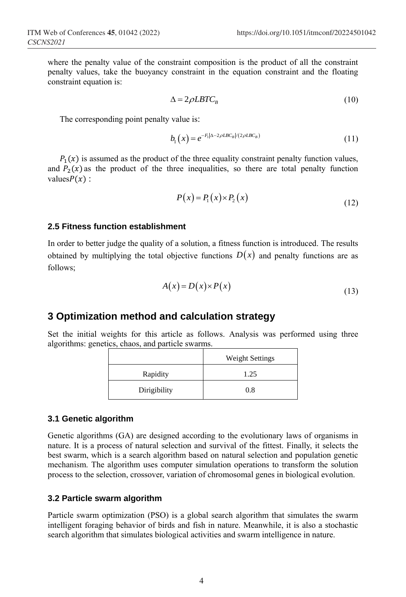where the penalty value of the constraint composition is the product of all the constraint penalty values, take the buoyancy constraint in the equation constraint and the floating constraint equation is:

$$
\Delta = 2\rho L B T C_B \tag{10}
$$

The corresponding point penalty value is:

$$
b_1(x) = e^{-F_1|\Delta - 2\rho LBC_B|/(2\rho LBC_B)}\tag{11}
$$

 $P_1(x)$  is assumed as the product of the three equality constraint penalty function values, and  $P_2(x)$  as the product of the three inequalities, so there are total penalty function values $P(x)$ :

$$
P(x) = P_1(x) \times P_2(x) \tag{12}
$$

#### **2.5 Fitness function establishment**

In order to better judge the quality of a solution, a fitness function is introduced. The results obtained by multiplying the total objective functions  $D(x)$  and penalty functions are as follows;

$$
A(x) = D(x) \times P(x) \tag{13}
$$

### **3 Optimization method and calculation strategy**

Set the initial weights for this article as follows. Analysis was performed using three algorithms: genetics, chaos, and particle swarms.

|              | <b>Weight Settings</b> |  |  |
|--------------|------------------------|--|--|
| Rapidity     | 1.25                   |  |  |
| Dirigibility | 0.8                    |  |  |

#### **3.1 Genetic algorithm**

Genetic algorithms (GA) are designed according to the evolutionary laws of organisms in nature. It is a process of natural selection and survival of the fittest. Finally, it selects the best swarm, which is a search algorithm based on natural selection and population genetic mechanism. The algorithm uses computer simulation operations to transform the solution process to the selection, crossover, variation of chromosomal genes in biological evolution.

#### **3.2 Particle swarm algorithm**

Particle swarm optimization (PSO) is a global search algorithm that simulates the swarm intelligent foraging behavior of birds and fish in nature. Meanwhile, it is also a stochastic search algorithm that simulates biological activities and swarm intelligence in nature.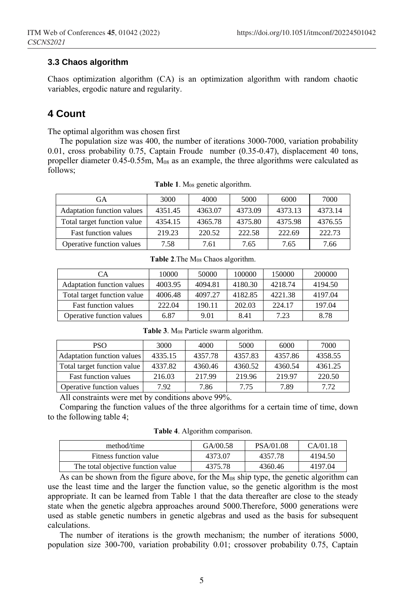#### **3.3 Chaos algorithm**

Chaos optimization algorithm (CA) is an optimization algorithm with random chaotic variables, ergodic nature and regularity.

## **4 Count**

The optimal algorithm was chosen first

The population size was 400, the number of iterations 3000-7000, variation probability 0.01, cross probability 0.75, Captain Froude number (0.35-0.47), displacement 40 tons, propeller diameter  $0.45$ - $0.55$ m,  $M_{08}$  as an example, the three algorithms were calculated as follows;

| GA                                | 3000    | 4000    | 5000    | 6000    | 7000    |
|-----------------------------------|---------|---------|---------|---------|---------|
| <b>Adaptation function values</b> | 4351.45 | 4363.07 | 4373.09 | 4373.13 | 4373.14 |
| Total target function value       | 4354.15 | 4365.78 | 4375.80 | 4375.98 | 4376.55 |
| <b>Fast function values</b>       | 219.23  | 220.52  | 222.58  | 222.69  | 222.73  |
| Operative function values         | 7.58    | 7.61    | 7.65    | 7.65    | 7.66    |

**Table 1**. M<sup>08</sup> genetic algorithm.

**Table 2**.The M<sup>08</sup> Chaos algorithm.

| CА                                | 10000   | 50000   | 100000  | 150000  | 200000  |
|-----------------------------------|---------|---------|---------|---------|---------|
| <b>Adaptation function values</b> | 4003.95 | 4094.81 | 4180.30 | 4218.74 | 4194.50 |
| Total target function value       | 4006.48 | 4097.27 | 4182.85 | 4221.38 | 4197.04 |
| <b>Fast function values</b>       | 222.04  | 190.11  | 202.03  | 224.17  | 197.04  |
| Operative function values         | 6.87    | 9.01    | 8.41    | 7.23    | 8.78    |

| <b>PSO</b>                        | 3000    | 4000    | 5000    | 6000    | 7000    |
|-----------------------------------|---------|---------|---------|---------|---------|
| <b>Adaptation function values</b> | 4335.15 | 4357.78 | 4357.83 | 4357.86 | 4358.55 |
| Total target function value       | 4337.82 | 4360.46 | 4360.52 | 4360.54 | 4361.25 |
| <b>Fast function values</b>       | 216.03  | 217.99  | 219.96  | 219.97  | 220.50  |
| Operative function values         | 7.92    | 7.86    | 7.75    | 7.89    | 7.72    |

**Table 3**. M<sup>08</sup> Particle swarm algorithm.

All constraints were met by conditions above 99%.

Comparing the function values of the three algorithms for a certain time of time, down to the following table 4;

**Table 4**. Algorithm comparison.

| method/time                        | GA/00.58 | PSA/01.08 | CA/01.18 |
|------------------------------------|----------|-----------|----------|
| Fitness function value             | 4373.07  | 4357.78   | 4194.50  |
| The total objective function value | 4375.78  | 4360.46   | 4197.04  |

As can be shown from the figure above, for the  $M_{08}$  ship type, the genetic algorithm can use the least time and the larger the function value, so the genetic algorithm is the most appropriate. It can be learned from Table 1 that the data thereafter are close to the steady state when the genetic algebra approaches around 5000.Therefore, 5000 generations were used as stable genetic numbers in genetic algebras and used as the basis for subsequent calculations.

The number of iterations is the growth mechanism; the number of iterations 5000, population size 300-700, variation probability 0.01; crossover probability 0.75, Captain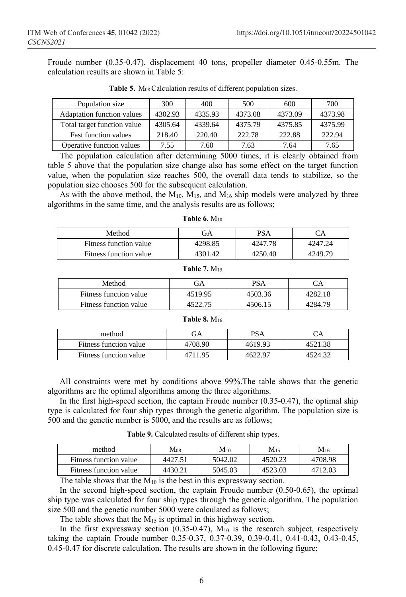Froude number (0.35-0.47), displacement 40 tons, propeller diameter 0.45-0.55m. The calculation results are shown in Table 5:

| Population size                   | 300     | 400     | 500     | 600     | 700     |
|-----------------------------------|---------|---------|---------|---------|---------|
| <b>Adaptation function values</b> | 4302.93 | 4335.93 | 4373.08 | 4373.09 | 4373.98 |
| Total target function value       | 4305.64 | 4339.64 | 4375.79 | 4375.85 | 4375.99 |
| <b>Fast function values</b>       | 218.40  | 220.40  | 222.78  | 222.88  | 222.94  |
| Operative function values         | 7.55    | 7.60    | 7.63    | 7.64    | 7.65    |

**Table 5.** M<sub>08</sub> Calculation results of different population sizes.

The population calculation after determining 5000 times, it is clearly obtained from table 5 above that the population size change also has some effect on the target function value, when the population size reaches 500, the overall data tends to stabilize, so the population size chooses 500 for the subsequent calculation.

As with the above method, the  $M_{10}$ ,  $M_{15}$ , and  $M_{16}$  ship models were analyzed by three algorithms in the same time, and the analysis results are as follows;

**Table 6.** M10.

| Method                 | GΑ      | PSA     |         |
|------------------------|---------|---------|---------|
| Fitness function value | 4298.85 | 4247.78 | 4247.24 |
| Fitness function value | 4301.42 | 4250.40 | 4249.79 |

# **Table 7.** M15.

| Method                 | ЭA      | <b>PSA</b> |         |
|------------------------|---------|------------|---------|
| Fitness function value | 4519.95 | 4503.36    | 4282.18 |
| Fitness function value | 4522.75 | 4506.15    | 4284.79 |

#### **Table 8.** M16.

| method                 | ЭA      | PSA     |         |
|------------------------|---------|---------|---------|
| Fitness function value | 4708.90 | 4619.93 | 4521.38 |
| Fitness function value | 4711.95 | 4622.97 | 4524.32 |

All constraints were met by conditions above 99%.The table shows that the genetic algorithms are the optimal algorithms among the three algorithms.

In the first high-speed section, the captain Froude number  $(0.35-0.47)$ , the optimal ship type is calculated for four ship types through the genetic algorithm. The population size is 500 and the genetic number is 5000, and the results are as follows;

**Table 9.** Calculated results of different ship types.

| method                 | $M_{08}$ | $M_{10}$ | M15     | $M_{16}$ |
|------------------------|----------|----------|---------|----------|
| Fitness function value | 4427.51  | 5042.02  | 4520.23 | 4708.98  |
| Fitness function value | 4430.21  | 5045.03  | 4523.03 | 4712.03  |

The table shows that the  $M_{10}$  is the best in this expressway section.

In the second high-speed section, the captain Froude number (0.50-0.65), the optimal ship type was calculated for four ship types through the genetic algorithm. The population size 500 and the genetic number 5000 were calculated as follows;

The table shows that the  $M_{15}$  is optimal in this highway section.

In the first expressway section  $(0.35-0.47)$ ,  $M_{10}$  is the research subject, respectively taking the captain Froude number 0.35-0.37, 0.37-0.39, 0.39-0.41, 0.41-0.43, 0.43-0.45, 0.45-0.47 for discrete calculation. The results are shown in the following figure;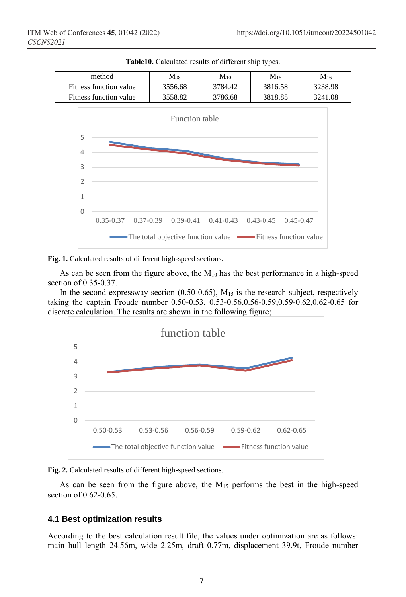

**Table10.** Calculated results of different ship types.



As can be seen from the figure above, the  $M_{10}$  has the best performance in a high-speed section of 0.35-0.37.

In the second expressway section  $(0.50-0.65)$ ,  $M_{15}$  is the research subject, respectively taking the captain Froude number 0.50-0.53, 0.53-0.56,0.56-0.59,0.59-0.62,0.62-0.65 for discrete calculation. The results are shown in the following figure;





As can be seen from the figure above, the  $M_{15}$  performs the best in the high-speed section of 0.62-0.65.

#### **4.1 Best optimization results**

According to the best calculation result file, the values under optimization are as follows: main hull length 24.56m, wide 2.25m, draft 0.77m, displacement 39.9t, Froude number